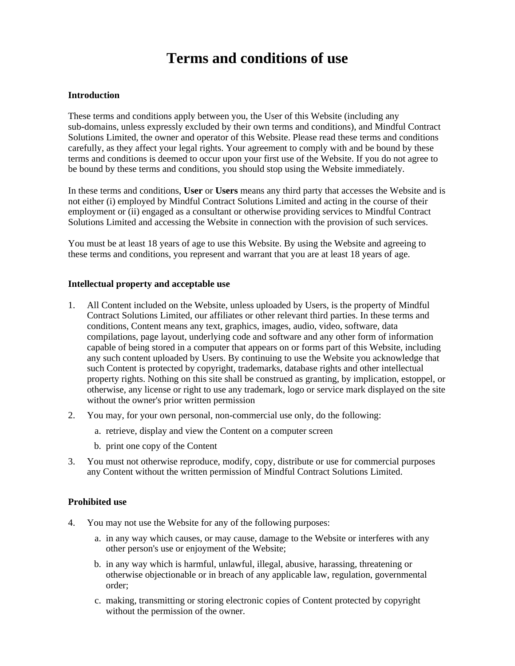# **Terms and conditions of use**

## **Introduction**

These terms and conditions apply between you, the User of this Website (including any sub-domains, unless expressly excluded by their own terms and conditions), and Mindful Contract Solutions Limited, the owner and operator of this Website. Please read these terms and conditions carefully, as they affect your legal rights. Your agreement to comply with and be bound by these terms and conditions is deemed to occur upon your first use of the Website. If you do not agree to be bound by these terms and conditions, you should stop using the Website immediately.

In these terms and conditions, **User** or **Users** means any third party that accesses the Website and is not either (i) employed by Mindful Contract Solutions Limited and acting in the course of their employment or (ii) engaged as a consultant or otherwise providing services to Mindful Contract Solutions Limited and accessing the Website in connection with the provision of such services.

You must be at least 18 years of age to use this Website. By using the Website and agreeing to these terms and conditions, you represent and warrant that you are at least 18 years of age.

#### **Intellectual property and acceptable use**

- 1. All Content included on the Website, unless uploaded by Users, is the property of Mindful Contract Solutions Limited, our affiliates or other relevant third parties. In these terms and conditions, Content means any text, graphics, images, audio, video, software, data compilations, page layout, underlying code and software and any other form of information capable of being stored in a computer that appears on or forms part of this Website, including any such content uploaded by Users. By continuing to use the Website you acknowledge that such Content is protected by copyright, trademarks, database rights and other intellectual property rights. Nothing on this site shall be construed as granting, by implication, estoppel, or otherwise, any license or right to use any trademark, logo or service mark displayed on the site without the owner's prior written permission
- 2. You may, for your own personal, non-commercial use only, do the following:
	- a. retrieve, display and view the Content on a computer screen
	- b. print one copy of the Content
- 3. You must not otherwise reproduce, modify, copy, distribute or use for commercial purposes any Content without the written permission of Mindful Contract Solutions Limited.

### **Prohibited use**

- 4. You may not use the Website for any of the following purposes:
	- a. in any way which causes, or may cause, damage to the Website or interferes with any other person's use or enjoyment of the Website;
	- b. in any way which is harmful, unlawful, illegal, abusive, harassing, threatening or otherwise objectionable or in breach of any applicable law, regulation, governmental order;
	- c. making, transmitting or storing electronic copies of Content protected by copyright without the permission of the owner.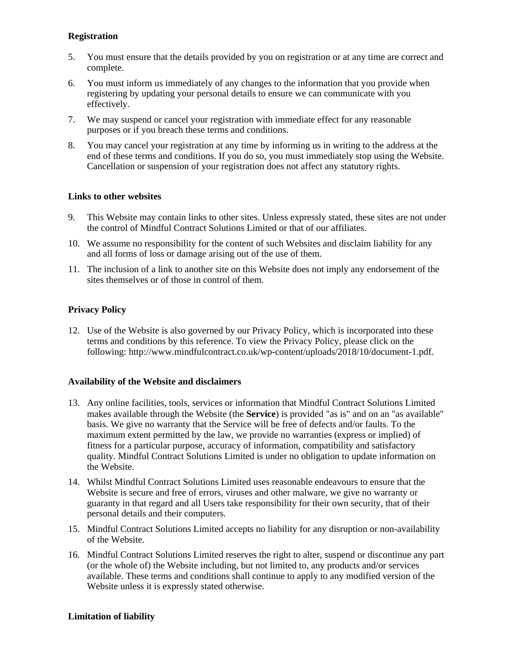## **Registration**

- 5. You must ensure that the details provided by you on registration or at any time are correct and complete.
- 6. You must inform us immediately of any changes to the information that you provide when registering by updating your personal details to ensure we can communicate with you effectively.
- 7. We may suspend or cancel your registration with immediate effect for any reasonable purposes or if you breach these terms and conditions.
- 8. You may cancel your registration at any time by informing us in writing to the address at the end of these terms and conditions. If you do so, you must immediately stop using the Website. Cancellation or suspension of your registration does not affect any statutory rights.

# **Links to other websites**

- 9. This Website may contain links to other sites. Unless expressly stated, these sites are not under the control of Mindful Contract Solutions Limited or that of our affiliates.
- 10. We assume no responsibility for the content of such Websites and disclaim liability for any and all forms of loss or damage arising out of the use of them.
- 11. The inclusion of a link to another site on this Website does not imply any endorsement of the sites themselves or of those in control of them.

# **Privacy Policy**

12. Use of the Website is also governed by our Privacy Policy, which is incorporated into these terms and conditions by this reference. To view the Privacy Policy, please click on the following: http://www.mindfulcontract.co.uk/wp-content/uploads/2018/10/document-1.pdf.

## **Availability of the Website and disclaimers**

- 13. Any online facilities, tools, services or information that Mindful Contract Solutions Limited makes available through the Website (the **Service**) is provided "as is" and on an "as available" basis. We give no warranty that the Service will be free of defects and/or faults. To the maximum extent permitted by the law, we provide no warranties (express or implied) of fitness for a particular purpose, accuracy of information, compatibility and satisfactory quality. Mindful Contract Solutions Limited is under no obligation to update information on the Website.
- 14. Whilst Mindful Contract Solutions Limited uses reasonable endeavours to ensure that the Website is secure and free of errors, viruses and other malware, we give no warranty or guaranty in that regard and all Users take responsibility for their own security, that of their personal details and their computers.
- 15. Mindful Contract Solutions Limited accepts no liability for any disruption or non-availability of the Website.
- 16. Mindful Contract Solutions Limited reserves the right to alter, suspend or discontinue any part (or the whole of) the Website including, but not limited to, any products and/or services available. These terms and conditions shall continue to apply to any modified version of the Website unless it is expressly stated otherwise.

## **Limitation of liability**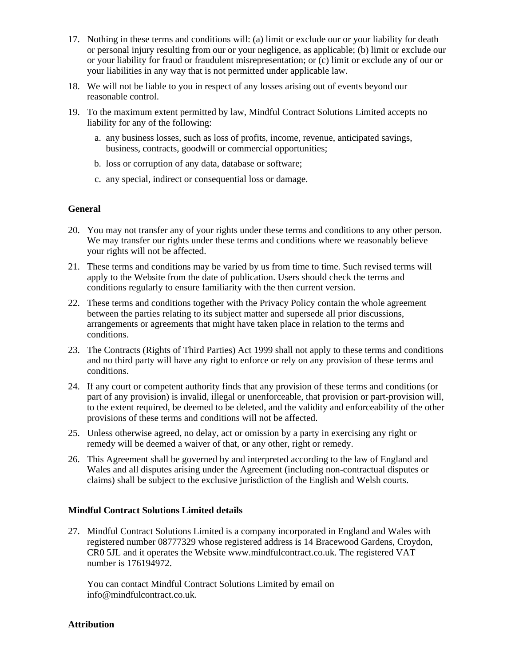- 17. Nothing in these terms and conditions will: (a) limit or exclude our or your liability for death or personal injury resulting from our or your negligence, as applicable; (b) limit or exclude our or your liability for fraud or fraudulent misrepresentation; or (c) limit or exclude any of our or your liabilities in any way that is not permitted under applicable law.
- 18. We will not be liable to you in respect of any losses arising out of events beyond our reasonable control.
- 19. To the maximum extent permitted by law, Mindful Contract Solutions Limited accepts no liability for any of the following:
	- a. any business losses, such as loss of profits, income, revenue, anticipated savings, business, contracts, goodwill or commercial opportunities;
	- b. loss or corruption of any data, database or software;
	- c. any special, indirect or consequential loss or damage.

## **General**

- 20. You may not transfer any of your rights under these terms and conditions to any other person. We may transfer our rights under these terms and conditions where we reasonably believe your rights will not be affected.
- 21. These terms and conditions may be varied by us from time to time. Such revised terms will apply to the Website from the date of publication. Users should check the terms and conditions regularly to ensure familiarity with the then current version.
- 22. These terms and conditions together with the Privacy Policy contain the whole agreement between the parties relating to its subject matter and supersede all prior discussions, arrangements or agreements that might have taken place in relation to the terms and conditions.
- 23. The Contracts (Rights of Third Parties) Act 1999 shall not apply to these terms and conditions and no third party will have any right to enforce or rely on any provision of these terms and conditions.
- 24. If any court or competent authority finds that any provision of these terms and conditions (or part of any provision) is invalid, illegal or unenforceable, that provision or part-provision will, to the extent required, be deemed to be deleted, and the validity and enforceability of the other provisions of these terms and conditions will not be affected.
- 25. Unless otherwise agreed, no delay, act or omission by a party in exercising any right or remedy will be deemed a waiver of that, or any other, right or remedy.
- 26. This Agreement shall be governed by and interpreted according to the law of England and Wales and all disputes arising under the Agreement (including non-contractual disputes or claims) shall be subject to the exclusive jurisdiction of the English and Welsh courts.

## **Mindful Contract Solutions Limited details**

27. Mindful Contract Solutions Limited is a company incorporated in England and Wales with registered number 08777329 whose registered address is 14 Bracewood Gardens, Croydon, CR0 5JL and it operates the Website www.mindfulcontract.co.uk. The registered VAT number is 176194972.

You can contact Mindful Contract Solutions Limited by email on info@mindfulcontract.co.uk.

### **Attribution**